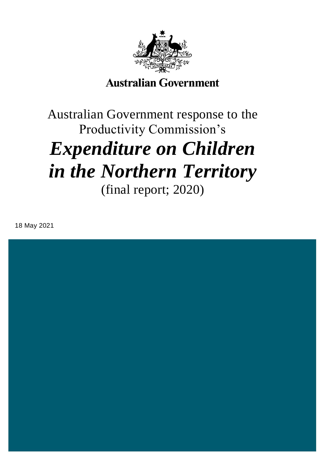

## **Australian Government**

# Australian Government response to the Productivity Commission's *Expenditure on Children in the Northern Territory* (final report; 2020)

18 May 2021

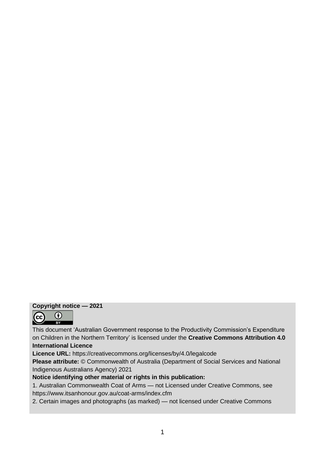#### **Copyright notice — 2021**



This document 'Australian Government response to the Productivity Commission's Expenditure on Children in the Northern Territory' is licensed under the **Creative Commons Attribution 4.0 International Licence** 

**Licence URL:** https://creativecommons.org/licenses/by/4.0/legalcode

**Please attribute:** © Commonwealth of Australia (Department of Social Services and National Indigenous Australians Agency) 2021

**Notice identifying other material or rights in this publication:** 

1. Australian Commonwealth Coat of Arms — not Licensed under Creative Commons, see https://www.itsanhonour.gov.au/coat-arms/index.cfm

2. Certain images and photographs (as marked) — not licensed under Creative Commons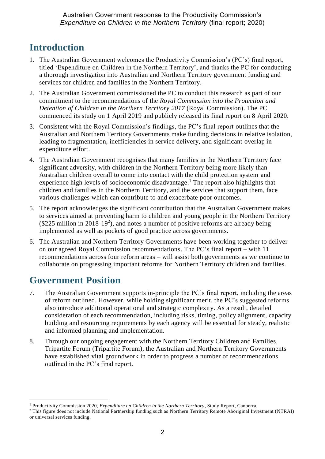## **Introduction**

- 1. The Australian Government welcomes the Productivity Commission's (PC's) final report, titled 'Expenditure on Children in the Northern Territory', and thanks the PC for conducting a thorough investigation into Australian and Northern Territory government funding and services for children and families in the Northern Territory.
- 2. The Australian Government commissioned the PC to conduct this research as part of our commitment to the recommendations of the *Royal Commission into the Protection and Detention of Children in the Northern Territory 2017* (Royal Commission). The PC commenced its study on 1 April 2019 and publicly released its final report on 8 April 2020.
- 3. Consistent with the Royal Commission's findings, the PC's final report outlines that the Australian and Northern Territory Governments make funding decisions in relative isolation, leading to fragmentation, inefficiencies in service delivery, and significant overlap in expenditure effort.
- 4. The Australian Government recognises that many families in the Northern Territory face significant adversity, with children in the Northern Territory being more likely than Australian children overall to come into contact with the child protection system and experience high levels of socioeconomic disadvantage.<sup>1</sup> The report also highlights that children and families in the Northern Territory, and the services that support them, face various challenges which can contribute to and exacerbate poor outcomes.
- 5. The report acknowledges the significant contribution that the Australian Government makes to services aimed at preventing harm to children and young people in the Northern Territory  $(\$225$  million in 2018-19<sup>2</sup>), and notes a number of positive reforms are already being implemented as well as pockets of good practice across governments.
- 6. The Australian and Northern Territory Governments have been working together to deliver on our agreed Royal Commission recommendations. The PC's final report – with 11 recommendations across four reform areas – will assist both governments as we continue to collaborate on progressing important reforms for Northern Territory children and families.

## **Government Position**

1

- 7. The Australian Government supports in-principle the PC's final report, including the areas of reform outlined. However, while holding significant merit, the PC's suggested reforms also introduce additional operational and strategic complexity. As a result, detailed consideration of each recommendation, including risks, timing, policy alignment, capacity building and resourcing requirements by each agency will be essential for steady, realistic and informed planning and implementation.
- 8. Through our ongoing engagement with the Northern Territory Children and Families Tripartite Forum (Tripartite Forum), the Australian and Northern Territory Governments have established vital groundwork in order to progress a number of recommendations outlined in the PC's final report.

<sup>1</sup> Productivity Commission 2020, *Expenditure on Children in the Northern Territory*, Study Report, Canberra.

<sup>&</sup>lt;sup>2</sup> This figure does not include National Partnership funding such as Northern Territory Remote Aboriginal Investment (NTRAI) or universal services funding.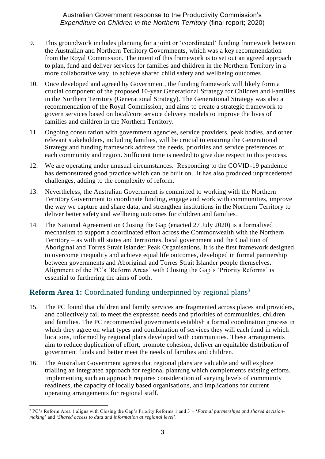- 9. This groundwork includes planning for a joint or 'coordinated' funding framework between the Australian and Northern Territory Governments, which was a key recommendation from the Royal Commission. The intent of this framework is to set out an agreed approach to plan, fund and deliver services for families and children in the Northern Territory in a more collaborative way, to achieve shared child safety and wellbeing outcomes.
- 10. Once developed and agreed by Government, the funding framework will likely form a crucial component of the proposed 10-year Generational Strategy for Children and Families in the Northern Territory (Generational Strategy). The Generational Strategy was also a recommendation of the Royal Commission, and aims to create a strategic framework to govern services based on local/core service delivery models to improve the lives of families and children in the Northern Territory.
- 11. Ongoing consultation with government agencies, service providers, peak bodies, and other relevant stakeholders, including families, will be crucial to ensuring the Generational Strategy and funding framework address the needs, priorities and service preferences of each community and region. Sufficient time is needed to give due respect to this process.
- 12. We are operating under unusual circumstances. Responding to the COVID-19 pandemic has demonstrated good practice which can be built on. It has also produced unprecedented challenges, adding to the complexity of reform.
- 13. Nevertheless, the Australian Government is committed to working with the Northern Territory Government to coordinate funding, engage and work with communities, improve the way we capture and share data, and strengthen institutions in the Northern Territory to deliver better safety and wellbeing outcomes for children and families.
- 14. The National Agreement on Closing the Gap (enacted 27 July 2020) is a formalised mechanism to support a coordinated effort across the Commonwealth with the Northern Territory – as with all states and territories, local government and the Coalition of Aboriginal and Torres Strait Islander Peak Organisations. It is the first framework designed to overcome inequality and achieve equal life outcomes, developed in formal partnership between governments and Aboriginal and Torres Strait Islander people themselves. Alignment of the PC's 'Reform Areas' with Closing the Gap's 'Priority Reforms' is essential to furthering the aims of both.

#### Reform Area 1: Coordinated funding underpinned by regional plans<sup>3</sup>

- 15. The PC found that children and family services are fragmented across places and providers, and collectively fail to meet the expressed needs and priorities of communities, children and families. The PC recommended governments establish a formal coordination process in which they agree on what types and combination of services they will each fund in which locations, informed by regional plans developed with communities. These arrangements aim to reduce duplication of effort, promote cohesion, deliver an equitable distribution of government funds and better meet the needs of families and children.
- 16. The Australian Government agrees that regional plans are valuable and will explore trialling an integrated approach for regional planning which complements existing efforts. Implementing such an approach requires consideration of varying levels of community readiness, the capacity of locally based organisations, and implications for current operating arrangements for regional staff.

<sup>1</sup> <sup>3</sup> PC's Reform Area 1 aligns with Closing the Gap's Priority Reforms 1 and 3 – '*Formal partnerships and shared decisionmaking*' and '*Shared access to data and information at regional level*'.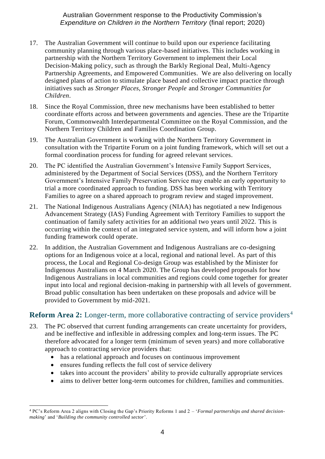- 17. The Australian Government will continue to build upon our experience facilitating community planning through various place-based initiatives. This includes working in partnership with the Northern Territory Government to implement their Local Decision-Making policy, such as through the Barkly Regional Deal, Multi-Agency Partnership Agreements, and Empowered Communities. We are also delivering on locally designed plans of action to stimulate place based and collective impact practice through initiatives such as *Stronger Places, Stronger People* and *Stronger Communities for Children*.
- 18. Since the Royal Commission, three new mechanisms have been established to better coordinate efforts across and between governments and agencies. These are the Tripartite Forum, Commonwealth Interdepartmental Committee on the Royal Commission, and the Northern Territory Children and Families Coordination Group.
- 19. The Australian Government is working with the Northern Territory Government in consultation with the Tripartite Forum on a joint funding framework, which will set out a formal coordination process for funding for agreed relevant services.
- 20. The PC identified the Australian Government's Intensive Family Support Services, administered by the Department of Social Services (DSS), and the Northern Territory Government's Intensive Family Preservation Service may enable an early opportunity to trial a more coordinated approach to funding. DSS has been working with Territory Families to agree on a shared approach to program review and staged improvement.
- 21. The National Indigenous Australians Agency (NIAA) has negotiated a new Indigenous Advancement Strategy (IAS) Funding Agreement with Territory Families to support the continuation of family safety activities for an additional two years until 2022. This is occurring within the context of an integrated service system, and will inform how a joint funding framework could operate.
- 22. In addition, the Australian Government and Indigenous Australians are co-designing options for an Indigenous voice at a local, regional and national level. As part of this process, the Local and Regional Co-design Group was established by the Minister for Indigenous Australians on 4 March 2020. The Group has developed proposals for how Indigenous Australians in local communities and regions could come together for greater input into local and regional decision-making in partnership with all levels of government. Broad public consultation has been undertaken on these proposals and advice will be provided to Government by mid-2021.

#### **Reform Area 2:** Longer-term, more collaborative contracting of service providers<sup>4</sup>

- 23. The PC observed that current funding arrangements can create uncertainty for providers, and be ineffective and inflexible in addressing complex and long-term issues. The PC therefore advocated for a longer term (minimum of seven years) and more collaborative approach to contracting service providers that:
	- has a relational approach and focuses on continuous improvement
	- ensures funding reflects the full cost of service delivery
	- takes into account the providers' ability to provide culturally appropriate services
	- aims to deliver better long-term outcomes for children, families and communities.

<sup>1</sup> <sup>4</sup> PC's Reform Area 2 aligns with Closing the Gap's Priority Reforms 1 and 2 – '*Formal partnerships and shared decisionmaking*' and '*Building the community controlled sector*'.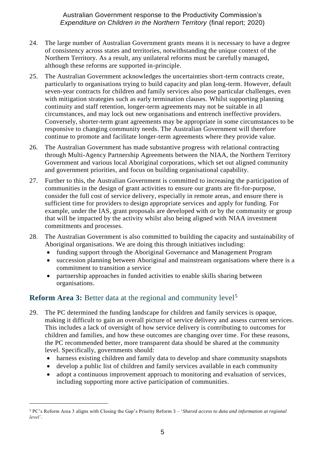- 24. The large number of Australian Government grants means it is necessary to have a degree of consistency across states and territories, notwithstanding the unique context of the Northern Territory. As a result, any unilateral reforms must be carefully managed, although these reforms are supported in-principle.
- 25. The Australian Government acknowledges the uncertainties short-term contracts create, particularly to organisations trying to build capacity and plan long-term. However, default seven**-**year contracts for children and family services also pose particular challenges, even with mitigation strategies such as early termination clauses. Whilst supporting planning continuity and staff retention, longer-term agreements may not be suitable in all circumstances, and may lock out new organisations and entrench ineffective providers. Conversely, shorter-term grant agreements may be appropriate in some circumstances to be responsive to changing community needs. The Australian Government will therefore continue to promote and facilitate longer-term agreements where they provide value.
- 26. The Australian Government has made substantive progress with relational contracting through Multi-Agency Partnership Agreements between the NIAA, the Northern Territory Government and various local Aboriginal corporations, which set out aligned community and government priorities, and focus on building organisational capability.
- 27. Further to this, the Australian Government is committed to increasing the participation of communities in the design of grant activities to ensure our grants are fit-for-purpose, consider the full cost of service delivery, especially in remote areas, and ensure there is sufficient time for providers to design appropriate services and apply for funding. For example, under the IAS, grant proposals are developed with or by the community or group that will be impacted by the activity whilst also being aligned with NIAA investment commitments and processes.
- 28. The Australian Government is also committed to building the capacity and sustainability of Aboriginal organisations. We are doing this through initiatives including:
	- funding support through the Aboriginal Governance and Management Program
	- succession planning between Aboriginal and mainstream organisations where there is a commitment to transition a service
	- partnership approaches in funded activities to enable skills sharing between organisations.

#### **Reform Area 3:** Better data at the regional and community level<sup>5</sup>

1

- 29. The PC determined the funding landscape for children and family services is opaque, making it difficult to gain an overall picture of service delivery and assess current services. This includes a lack of oversight of how service delivery is contributing to outcomes for children and families, and how these outcomes are changing over time. For these reasons, the PC recommended better, more transparent data should be shared at the community level. Specifically, governments should:
	- harness existing children and family data to develop and share community snapshots
	- develop a public list of children and family services available in each community
	- adopt a continuous improvement approach to monitoring and evaluation of services, including supporting more active participation of communities.

<sup>5</sup> PC's Reform Area 3 aligns with Closing the Gap's Priority Reform 3 – '*Shared access to data and information at regional level'.*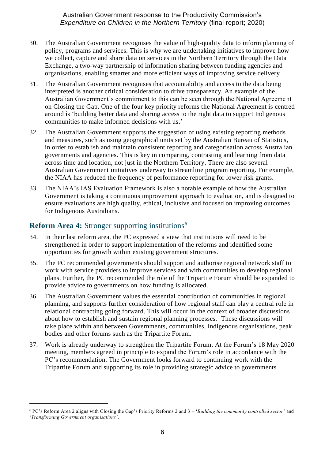- 30. The Australian Government recognises the value of high-quality data to inform planning of policy, programs and services. This is why we are undertaking initiatives to improve how we collect, capture and share data on services in the Northern Territory through the Data Exchange, a two-way partnership of information sharing between funding agencies and organisations, enabling smarter and more efficient ways of improving service delivery.
- 31. The Australian Government recognises that accountability and access to the data being interpreted is another critical consideration to drive transparency. An example of the Australian Government's commitment to this can be seen through the National Agreement on Closing the Gap. One of the four key priority reforms the National Agreement is centred around is 'building better data and sharing access to the right data to support Indigenous communities to make informed decisions with us.'
- 32. The Australian Government supports the suggestion of using existing reporting methods and measures, such as using geographical units set by the Australian Bureau of Statistics, in order to establish and maintain consistent reporting and categorisation across Australian governments and agencies. This is key in comparing, contrasting and learning from data across time and location, not just in the Northern Territory. There are also several Australian Government initiatives underway to streamline program reporting. For example, the NIAA has reduced the frequency of performance reporting for lower risk grants.
- 33. The NIAA's IAS Evaluation Framework is also a notable example of how the Australian Government is taking a continuous improvement approach to evaluation, and is designed to ensure evaluations are high quality, ethical, inclusive and focused on improving outcomes for Indigenous Australians.

#### **Reform Area 4:** Stronger supporting institutions<sup>6</sup>

1

- 34. In their last reform area, the PC expressed a view that institutions will need to be strengthened in order to support implementation of the reforms and identified some opportunities for growth within existing government structures.
- 35. The PC recommended governments should support and authorise regional network staff to work with service providers to improve services and with communities to develop regional plans. Further, the PC recommended the role of the Tripartite Forum should be expanded to provide advice to governments on how funding is allocated.
- 36. The Australian Government values the essential contribution of communities in regional planning, and supports further consideration of how regional staff can play a central role in relational contracting going forward. This will occur in the context of broader discussions about how to establish and sustain regional planning processes. These discussions will take place within and between Governments, communities, Indigenous organisations, peak bodies and other forums such as the Tripartite Forum.
- 37. Work is already underway to strengthen the Tripartite Forum. At the Forum's 18 May 2020 meeting, members agreed in principle to expand the Forum's role in accordance with the PC's recommendation. The Government looks forward to continuing work with the Tripartite Forum and supporting its role in providing strategic advice to governments.

<sup>6</sup> PC's Reform Area 2 aligns with Closing the Gap's Priority Reforms 2 and 3 – '*Building the community controlled sector'* and '*Transforming Government organisations'.*